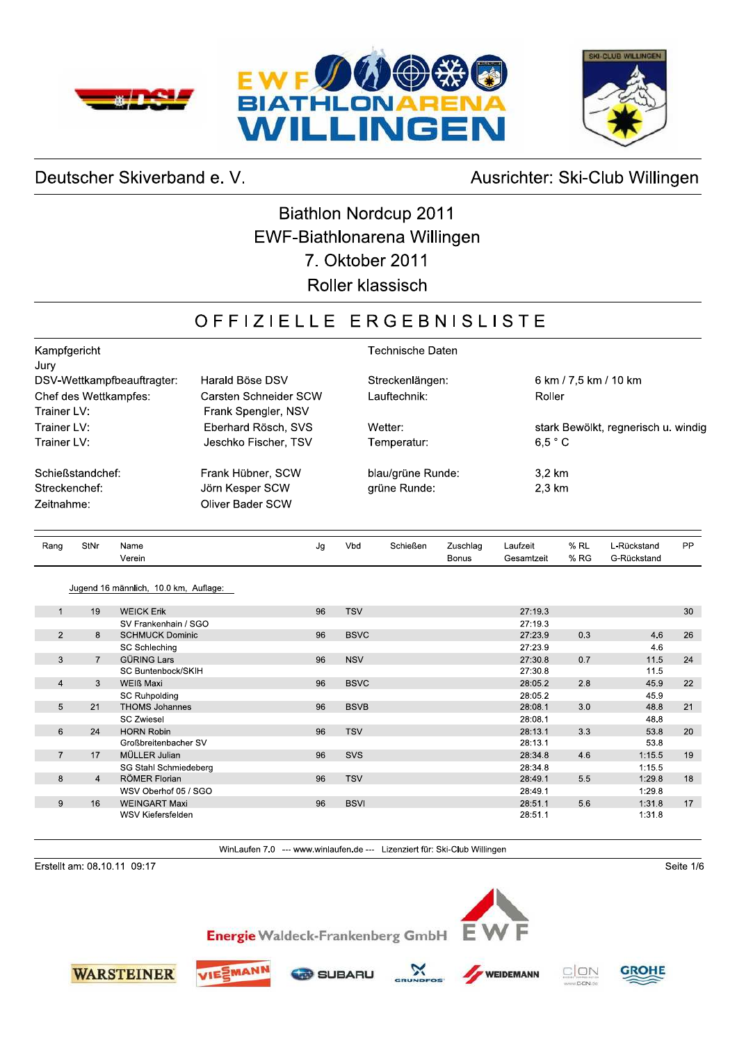





## Deutscher Skiverband e. V.

## Ausrichter: Ski-Club Willingen

## **Biathlon Nordcup 2011** EWF-Biathlonarena Willingen 7. Oktober 2011 Roller klassisch

## OFFIZIELLE ERGEBNISLISTE

| Kampfgericht                         |                                              | Technische Daten            |                                         |  |  |  |
|--------------------------------------|----------------------------------------------|-----------------------------|-----------------------------------------|--|--|--|
| Jury<br>DSV-Wettkampfbeauftragter:   | Harald Böse DSV                              | Streckenlängen:             | 6 km / 7,5 km / 10 km                   |  |  |  |
| Chef des Wettkampfes:<br>Trainer LV: | Carsten Schneider SCW<br>Frank Spengler, NSV | Lauftechnik:                | Roller                                  |  |  |  |
| Trainer LV:                          | Eberhard Rösch, SVS                          | Wetter:                     | stark Bewölkt, regnerisch u. windig     |  |  |  |
| Trainer LV:                          | Jeschko Fischer, TSV                         | Temperatur:                 | 6.5 °C                                  |  |  |  |
| Schießstandchef:                     | Frank Hübner, SCW                            | blau/grüne Runde:           | 3.2 km                                  |  |  |  |
| Streckenchef:                        | Jörn Kesper SCW                              | grüne Runde:                | $2.3 \text{ km}$                        |  |  |  |
| Zeitnahme:                           | <b>Oliver Bader SCW</b>                      |                             |                                         |  |  |  |
| StNr<br>Rang<br>Name                 | Jg                                           | Vbd<br>Schießen<br>Zuschlag | $%$ RL<br>PP<br>Laufzeit<br>L-Rückstand |  |  |  |

|                |                | verem                                 |    |             | <b>BONUS</b> | Gesamzen | 70 RG | G-RUCKSIANO |    |
|----------------|----------------|---------------------------------------|----|-------------|--------------|----------|-------|-------------|----|
|                |                | Jugend 16 männlich, 10.0 km, Auflage: |    |             |              |          |       |             |    |
| $\mathbf{1}$   | 19             | <b>WEICK Erik</b>                     | 96 | <b>TSV</b>  |              | 27:19.3  |       |             | 30 |
|                |                | SV Frankenhain / SGO                  |    |             |              | 27:19.3  |       |             |    |
| $\overline{2}$ | 8              | <b>SCHMUCK Dominic</b>                | 96 | <b>BSVC</b> |              | 27:23.9  | 0.3   | 4.6         | 26 |
|                |                | <b>SC Schleching</b>                  |    |             |              | 27:23.9  |       | 4.6         |    |
| 3              | $\overline{7}$ | <b>GÜRING Lars</b>                    | 96 | <b>NSV</b>  |              | 27:30.8  | 0.7   | 11.5        | 24 |
|                |                | SC Buntenbock/SKIH                    |    |             |              | 27:30.8  |       | 11.5        |    |
| $\overline{4}$ | 3              | <b>WEIß Maxi</b>                      | 96 | <b>BSVC</b> |              | 28:05.2  | 2.8   | 45.9        | 22 |
|                |                | <b>SC Ruhpolding</b>                  |    |             |              | 28:05.2  |       | 45.9        |    |
| 5              | 21             | <b>THOMS Johannes</b>                 | 96 | <b>BSVB</b> |              | 28:08.1  | 3.0   | 48.8        | 21 |
|                |                | <b>SC Zwiesel</b>                     |    |             |              | 28:08.1  |       | 48.8        |    |
| 6              | 24             | <b>HORN Robin</b>                     | 96 | <b>TSV</b>  |              | 28:13.1  | 3.3   | 53.8        | 20 |
|                |                | Großbreitenbacher SV                  |    |             |              | 28:13.1  |       | 53.8        |    |
| $\overline{7}$ | 17             | MÜLLER Julian                         | 96 | <b>SVS</b>  |              | 28:34.8  | 4.6   | 1:15.5      | 19 |
|                |                | SG Stahl Schmiedeberg                 |    |             |              | 28:34.8  |       | 1:15.5      |    |
| 8              | $\overline{4}$ | RÖMER Florian                         | 96 | <b>TSV</b>  |              | 28:49.1  | 5.5   | 1:29.8      | 18 |
|                |                | WSV Oberhof 05 / SGO                  |    |             |              | 28:49.1  |       | 1:29.8      |    |
| 9              | 16             | <b>WEINGART Maxi</b>                  | 96 | <b>BSVI</b> |              | 28:51.1  | 5.6   | 1:31.8      | 17 |
|                |                | WSV Kiefersfelden                     |    |             |              | 28:51.1  |       | 1:31.8      |    |

WinLaufen 7.0 --- www.winlaufen.de --- Lizenziert für: Ski-Club Willingen

Erstellt am: 08.10.11 09:17







**Energie Waldeck-Frankenberg GmbH** 







Seite 1/6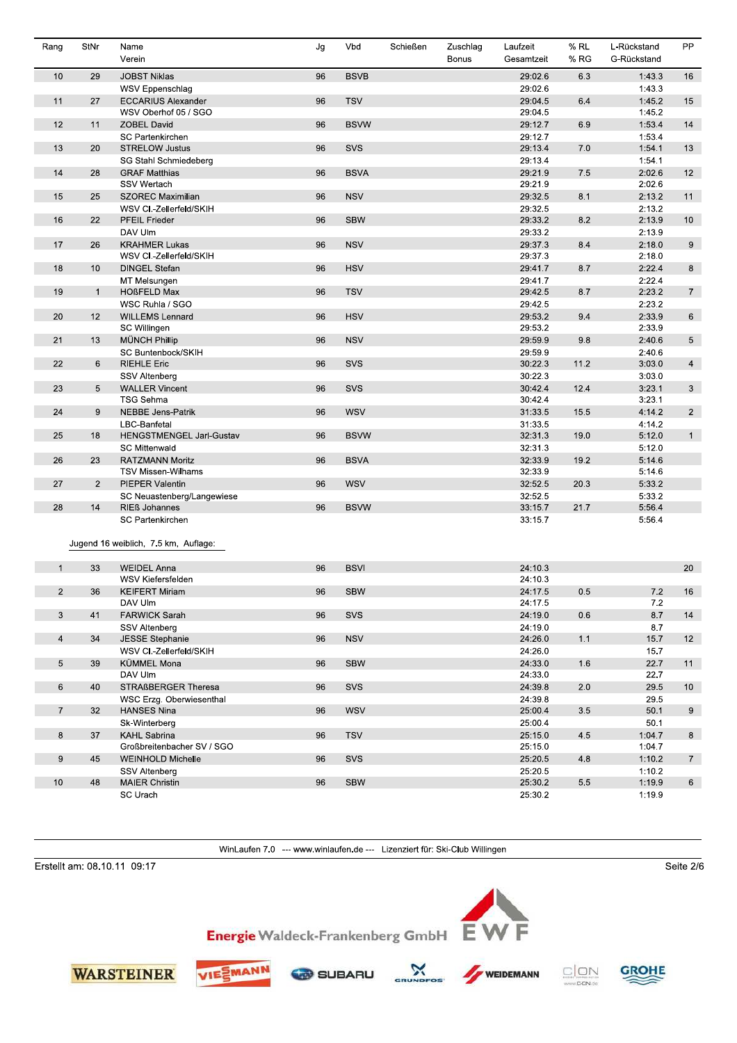| Rang           | <b>StNr</b>  | Name<br>Verein                                  | Jg | Vbd         | Schießen | Zuschlag<br>Bonus | Laufzeit<br>Gesamtzeit | $%$ RL<br>% RG | L-Rückstand<br>G-Rückstand | <b>PP</b>       |
|----------------|--------------|-------------------------------------------------|----|-------------|----------|-------------------|------------------------|----------------|----------------------------|-----------------|
| 10             | 29           | <b>JOBST Niklas</b>                             | 96 | <b>BSVB</b> |          |                   | 29.02.6                | 6.3            | 1:43.3                     | 16              |
|                |              | WSV Eppenschlag                                 |    |             |          |                   | 29:02.6                |                | 1:43.3                     |                 |
| 11             | 27           | <b>ECCARIUS Alexander</b>                       | 96 | <b>TSV</b>  |          |                   | 29:04.5                | 6.4            | 1:45.2                     | 15              |
|                |              | WSV Oberhof 05 / SGO                            |    |             |          |                   | 29:04.5                |                | 1:45.2                     |                 |
| 12             | 11           | <b>ZOBEL David</b>                              | 96 | <b>BSVW</b> |          |                   | 29:12.7                | 6.9            | 1:53.4                     | 14              |
|                |              | SC Partenkirchen                                |    |             |          |                   | 29:12.7                |                | 1:53.4                     |                 |
| 13             | 20           | <b>STRELOW Justus</b>                           | 96 | SVS         |          |                   | 29:13.4                | 7.0            | 1:54.1                     | 13              |
|                |              | SG Stahl Schmiedeberg                           |    |             |          |                   | 29:13.4                |                | 1:54.1                     |                 |
| 14             | 28           | <b>GRAF Matthias</b>                            | 96 | <b>BSVA</b> |          |                   | 29:21.9                | 7.5            | 2:02.6                     | 12              |
|                |              | SSV Wertach                                     |    |             |          |                   | 29:21.9                |                | 2:02.6                     |                 |
| 15             | 25           | <b>SZOREC Maximilian</b>                        | 96 | <b>NSV</b>  |          |                   | 29:32.5                | 8.1            | 2:13.2                     | 11              |
|                |              |                                                 |    |             |          |                   | 29:32.5                |                | 2:13.2                     |                 |
| 16             | 22           | WSV CI.-Zellerfeld/SKIH<br><b>PFEIL Frieder</b> | 96 | <b>SBW</b>  |          |                   | 29:33.2                | 8.2            | 2:13.9                     | 10              |
|                |              |                                                 |    |             |          |                   |                        |                |                            |                 |
|                |              | DAV Ulm                                         |    |             |          |                   | 29:33.2                |                | 2:13.9                     |                 |
| 17             | 26           | <b>KRAHMER Lukas</b>                            | 96 | <b>NSV</b>  |          |                   | 29:37.3                | 8.4            | 2:18.0                     | 9               |
|                |              | WSV CI.-Zellerfeld/SKIH                         |    |             |          |                   | 29:37.3                |                | 2:18.0                     |                 |
| 18             | 10           | <b>DINGEL Stefan</b>                            | 96 | <b>HSV</b>  |          |                   | 29:41.7                | 8.7            | 2:22.4                     | 8               |
|                |              | MT Melsungen                                    |    |             |          |                   | 29 41 7                |                | 2:22.4                     |                 |
| 19             | $\mathbf{1}$ | <b>HOßFELD Max</b>                              | 96 | <b>TSV</b>  |          |                   | 29:42.5                | 8.7            | 2:23.2                     | $7\overline{ }$ |
|                |              | WSC Ruhla / SGO                                 |    |             |          |                   | 29:42.5                |                | 2:23.2                     |                 |
| 20             | 12           | <b>WILLEMS Lennard</b>                          | 96 | <b>HSV</b>  |          |                   | 29:53.2                | 9.4            | 2:33.9                     | 6               |
|                |              | SC Willingen                                    |    |             |          |                   | 29:53.2                |                | 2:33.9                     |                 |
| 21             | 13           | MÜNCH Phillip                                   | 96 | <b>NSV</b>  |          |                   | 29:59.9                | 9.8            | 2:40.6                     | 5               |
|                |              | SC Buntenbock/SKIH                              |    |             |          |                   | 29:59.9                |                | 2:40.6                     |                 |
| 22             | 6            | <b>RIEHLE Eric</b>                              | 96 | SVS         |          |                   | 30:22.3                | 11.2           | 3:03.0                     | $\overline{4}$  |
|                |              | <b>SSV Altenberg</b>                            |    |             |          |                   | 30:22.3                |                | 3:03.0                     |                 |
| 23             | 5            | <b>WALLER Vincent</b>                           | 96 | SVS         |          |                   | 30:42.4                | 12.4           | 3:23.1                     | $\mathbf{3}$    |
|                |              | <b>TSG Sehma</b>                                |    |             |          |                   | 30:42.4                |                | 3:23.1                     |                 |
| 24             | 9            | <b>NEBBE Jens-Patrik</b>                        | 96 | WSV         |          |                   | 31:33.5                | 15.5           | 4:14.2                     | $\overline{2}$  |
|                |              | LBC-Banfetal                                    |    |             |          |                   | 31:33.5                |                | 4:14.2                     |                 |
| 25             | 18           | HENGSTMENGEL Jarl-Gustav                        | 96 | <b>BSVW</b> |          |                   | 32:31.3                | 19.0           | 5:12.0                     | 1               |
|                |              | <b>SC Mittenwald</b>                            |    |             |          |                   | 32:31.3                |                | 5:12.0                     |                 |
| 26             | 23           | <b>RATZMANN Moritz</b>                          | 96 | <b>BSVA</b> |          |                   | 32.33.9                | 19.2           | 5:14.6                     |                 |
|                |              | TSV Missen-Wilhams                              |    |             |          |                   | 32.33.9                |                | 5:14.6                     |                 |
| 27             | 2            | <b>PIEPER Valentin</b>                          | 96 | <b>WSV</b>  |          |                   | 32:52.5                | 20.3           | 5:33.2                     |                 |
|                |              | SC Neuastenberg/Langewiese                      |    |             |          |                   | 32:52.5                |                | 5:33.2                     |                 |
| 28             | 14           | <b>RIEß Johannes</b>                            | 96 | <b>BSVW</b> |          |                   | 33:15.7                | 21.7           | 5:56.4                     |                 |
|                |              | SC Partenkirchen                                |    |             |          |                   | 33.15.7                |                | 5:56.4                     |                 |
|                |              | Jugend 16 weiblich, 7.5 km, Auflage:            |    |             |          |                   |                        |                |                            |                 |
| $\overline{1}$ | 33           | <b>WEIDEL Anna</b>                              | 96 | <b>BSVI</b> |          |                   | 24:10.3                |                |                            | 20              |
|                |              | WSV Kiefersfelden                               |    |             |          |                   | 24:10.3                |                |                            |                 |
| $\overline{2}$ |              |                                                 | 96 | <b>SBW</b>  |          |                   | 24:17.5                |                |                            |                 |
|                | 36           | <b>KEIFERT Miriam</b><br>DAV Ulm                |    |             |          |                   | 24:17.5                | 0.5            | 7.2<br>7.2                 | 16              |
|                |              |                                                 |    |             |          |                   | 24:19.0                |                | 8.7                        |                 |
| 3              | 41           | <b>FARWICK Sarah</b>                            | 96 | SVS         |          |                   |                        | 0.6            |                            | 14              |
|                |              | SSV Altenberg                                   |    |             |          |                   | 24:19.0                |                | 8.7                        |                 |
| $\overline{4}$ | 34           | <b>JESSE Stephanie</b>                          | 96 | <b>NSV</b>  |          |                   | 24.26.0                | 1.1            | 15.7                       | 12              |
|                |              | WSV CI.-Zellerfeld/SKIH                         |    |             |          |                   | 24:26.0                |                | 15.7                       |                 |
| 5              | 39           | KÜMMEL Mona                                     | 96 | <b>SBW</b>  |          |                   | 24:33.0                | 1.6            | 22.7                       | 11              |
|                |              | DAV Ulm                                         |    |             |          |                   | 24:33.0                |                | 22.7                       |                 |
| 6              | 40           | STRAßBERGER Theresa                             | 96 | SVS         |          |                   | 24 39 8                | 2.0            | 29.5                       | 10              |
|                |              | WSC Erzg. Oberwiesenthal                        |    |             |          |                   | 24:39.8                |                | 29.5                       |                 |
| $\overline{7}$ | 32           | <b>HANSES Nina</b>                              | 96 | WSV         |          |                   | 25:00.4                | 3.5            | 50.1                       | 9               |
|                |              | Sk-Winterberg                                   |    |             |          |                   | 25:00.4                |                | 50.1                       |                 |
| 8              | 37           | <b>KAHL Sabrina</b>                             | 96 | <b>TSV</b>  |          |                   | 25:15.0                | 4.5            | 1:04.7                     | 8               |
|                |              | Großbreitenbacher SV / SGO                      |    |             |          |                   | 25:15.0                |                | 1:04.7                     |                 |
| 9              | 45           | <b>WEINHOLD Michelle</b>                        | 96 | SVS         |          |                   | 25:20.5                | 4.8            | 1:10.2                     | $7\phantom{.}$  |
|                |              | <b>SSV Altenberg</b>                            |    |             |          |                   | 25:20.5                |                | 1:10.2                     |                 |
| 10             | 48           | <b>MAIER Christin</b>                           | 96 | <b>SBW</b>  |          |                   | 25:30.2                | $5.5\,$        | 1:19.9                     | 6               |
|                |              | SC Urach                                        |    |             |          |                   | 25:30.2                |                | 1:19.9                     |                 |

Erstellt am: 08.10.11 09:17

EW Energie Waldeck-Frankenberg GmbH









 $\mathbf{\hat{x}}$ 

.<br>GR



F



Seite  $2/6$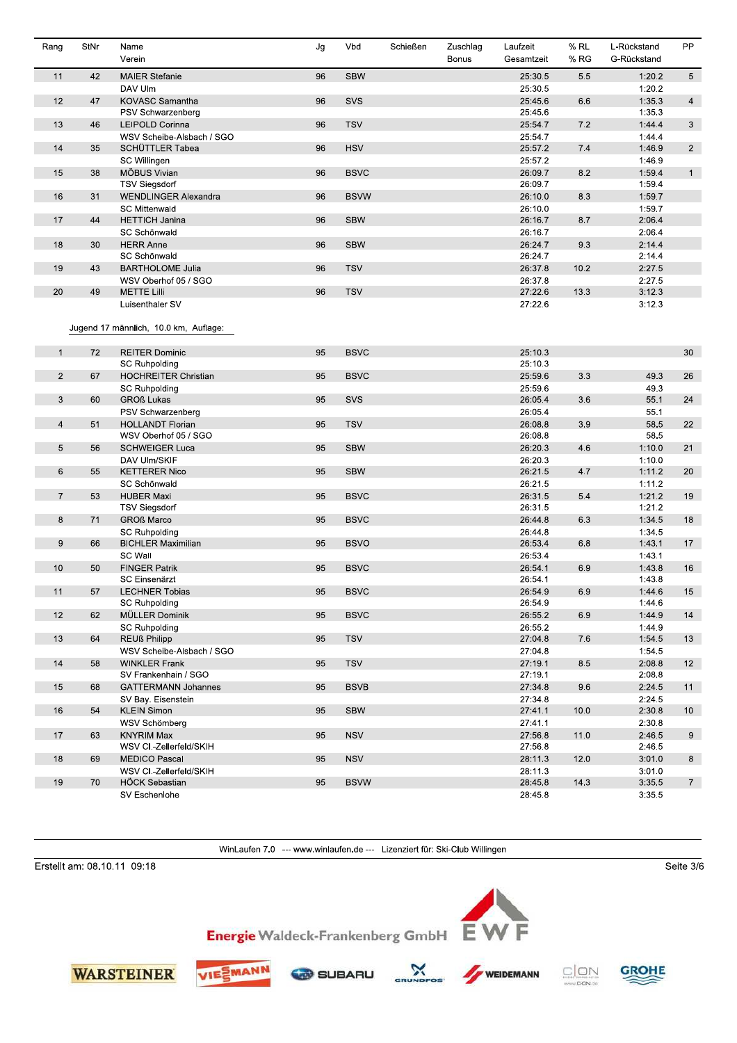| Rang           | StNr | Name<br>Verein                        | Jg | Vbd         | Schießen | Zuschlag<br><b>Bonus</b> | Laufzeit<br>Gesamtzeit | % RL<br>% RG | L-Rückstand<br>G-Rückstand | PP              |
|----------------|------|---------------------------------------|----|-------------|----------|--------------------------|------------------------|--------------|----------------------------|-----------------|
| 11             | 42   | <b>MAIER Stefanie</b>                 | 96 | <b>SBW</b>  |          |                          | 25.30.5                | 5.5          | 1:20.2                     | 5 <sup>5</sup>  |
|                |      | DAV Ulm                               |    |             |          |                          | 25:30.5                |              | 1:20.2                     |                 |
| 12             | 47   | KOVASC Samantha                       | 96 | SVS         |          |                          | 25:45.6                | 6.6          | 1:35.3                     | $\overline{4}$  |
|                |      | PSV Schwarzenberg                     |    |             |          |                          | 25:45.6                |              | 1:35.3                     |                 |
| 13             | 46   | LEIPOLD Corinna                       | 96 | <b>TSV</b>  |          |                          | 25.54.7                | 7.2          | 1:44.4                     | 3               |
|                |      | WSV Scheibe-Alsbach / SGO             |    |             |          |                          | 25:54.7                |              | 1:44.4                     |                 |
| 14             | 35   | SCHÜTTLER Tabea                       | 96 | <b>HSV</b>  |          |                          | 25:57.2                | 7.4          | 1:46.9                     | $\overline{2}$  |
|                |      | SC Willingen                          |    |             |          |                          | 25:57.2                |              | 1:46.9                     |                 |
| 15             | 38   | MÖBUS Vivian                          | 96 | <b>BSVC</b> |          |                          | 26.09.7                | 8.2          | 1:59.4                     | $\mathbf{1}$    |
|                |      | <b>TSV Siegsdorf</b>                  |    |             |          |                          | 26.09.7                |              | 1:59.4                     |                 |
| 16             | 31   | <b>WENDLINGER Alexandra</b>           | 96 | <b>BSVW</b> |          |                          | 26:10.0                | 8.3          | 1:59.7                     |                 |
|                |      | <b>SC Mittenwald</b>                  |    |             |          |                          | 26:10.0                |              | 1:59.7                     |                 |
| 17             | 44   | <b>HETTICH Janina</b>                 | 96 | <b>SBW</b>  |          |                          | 26:16.7                | 8.7          | 2:06.4                     |                 |
|                |      | SC Schönwald                          |    |             |          |                          | 26.16.7                |              | 2:06.4                     |                 |
| 18             | 30   | <b>HERR Anne</b>                      | 96 | <b>SBW</b>  |          |                          | 26:24.7                | 9.3          | 2:14.4                     |                 |
|                |      | SC Schönwald                          |    |             |          |                          | 26:24.7                |              | 2:14.4                     |                 |
| 19             | 43   | <b>BARTHOLOME Julia</b>               | 96 | <b>TSV</b>  |          |                          | 26:37.8                | 10.2         | 2:27.5                     |                 |
|                |      | WSV Oberhof 05 / SGO                  |    |             |          |                          | 26 37 8                |              | 2:27.5                     |                 |
| 20             | 49   | <b>METTE Lilli</b>                    | 96 | <b>TSV</b>  |          |                          | 27:22.6                | 13.3         | 3:12.3                     |                 |
|                |      | Luisenthaler SV                       |    |             |          |                          | 27:22.6                |              | 3:12.3                     |                 |
|                |      | Jugend 17 männlich, 10.0 km, Auflage: |    |             |          |                          |                        |              |                            |                 |
|                |      |                                       |    |             |          |                          |                        |              |                            |                 |
| $\mathbf{1}$   | 72   | <b>REITER Dominic</b>                 | 95 | <b>BSVC</b> |          |                          | 25:10.3                |              |                            | 30              |
|                |      | SC Ruhpolding                         |    |             |          |                          | 25:10.3                |              |                            |                 |
| $\overline{2}$ | 67   | <b>HOCHREITER Christian</b>           | 95 | <b>BSVC</b> |          |                          | 25:59.6                | 3.3          | 49.3                       | 26              |
|                |      | <b>SC Ruhpolding</b>                  |    |             |          |                          | 25:59.6                |              | 49.3                       |                 |
| 3              | 60   | <b>GROß Lukas</b>                     | 95 | SVS         |          |                          | 26 05 4                | 3.6          | 55.1                       | 24              |
|                |      | PSV Schwarzenberg                     |    |             |          |                          | 26.05.4                |              | 55.1                       |                 |
| $\overline{4}$ | 51   | <b>HOLLANDT Florian</b>               | 95 | <b>TSV</b>  |          |                          | 26:08.8                | 3.9          | 58.5                       | 22              |
|                |      | WSV Oberhof 05 / SGO                  |    |             |          |                          | 26:08.8                |              | 58.5                       |                 |
| 5              | 56   | <b>SCHWEIGER Luca</b>                 | 95 | <b>SBW</b>  |          |                          | 26:20.3                | 4.6          | 1:10.0                     | 21              |
|                |      | DAV Ulm/SKIF                          |    |             |          |                          | 26:20.3                |              | 1:10.0                     |                 |
| 6              | 55   | <b>KETTERER Nico</b>                  | 95 | <b>SBW</b>  |          |                          | 26:21.5                | 4.7          | 1:11.2                     | 20              |
|                |      | SC Schönwald                          |    |             |          |                          | 26:21.5                |              | 1:11.2                     |                 |
| $\overline{7}$ | 53   | <b>HUBER Maxi</b>                     | 95 | <b>BSVC</b> |          |                          | 26:31.5                | 5.4          | 1:21.2                     | 19              |
|                |      | <b>TSV Siegsdorf</b>                  |    |             |          |                          | 26:31.5                |              | 1:21.2                     |                 |
| 8              | 71   | <b>GROß Marco</b>                     | 95 | <b>BSVC</b> |          |                          | 26:44.8                | 6.3          | 1:34.5                     | 18              |
|                |      | <b>SC Ruhpolding</b>                  |    |             |          |                          | 26:44.8                |              | 1:34.5                     |                 |
| 9              | 66   | <b>BICHLER Maximilian</b>             | 95 | <b>BSVO</b> |          |                          | 26:53.4                | 6.8          | 1:43.1                     | 17              |
|                |      | SC Wall                               |    |             |          |                          | 26:53.4                |              | 1:43.1                     |                 |
| 10             | 50   | <b>FINGER Patrik</b>                  | 95 | <b>BSVC</b> |          |                          | 26:54.1                | 6.9          | 1:43.8                     | 16              |
|                |      | <b>SC Einsenärzt</b>                  |    |             |          |                          | 26.54.1                |              | 1:43.8                     |                 |
| 11             | 57   | <b>LECHNER Tobias</b>                 | 95 | <b>BSVC</b> |          |                          | 26:54.9                | 6.9          | 1:44.6                     | 15              |
|                |      | <b>SC Ruhpolding</b>                  |    |             |          |                          | 26:54.9                |              | 1:44.6                     |                 |
| 12             | 62   | MÜLLER Dominik                        | 95 | <b>BSVC</b> |          |                          | 26:55.2                | 6.9          | 1:44.9                     | 14              |
|                |      | <b>SC Ruhpolding</b>                  |    |             |          |                          | 26.55.2                |              | 1:44.9                     |                 |
| 13             | 64   | <b>REUß Philipp</b>                   | 95 | <b>TSV</b>  |          |                          | 27:04.8                | 7.6          | 1:54.5                     | 13              |
|                |      | WSV Scheibe-Alsbach / SGO             |    |             |          |                          | 27:04.8                |              | 1:54.5                     |                 |
| 14             | 58   | <b>WINKLER Frank</b>                  | 95 | <b>TSV</b>  |          |                          | 27:19.1                | 8.5          | 2:08.8                     | 12 <sup>2</sup> |
|                |      | SV Frankenhain / SGO                  |    |             |          |                          | 27:19.1                |              | 2:08.8                     |                 |
| 15             | 68   | <b>GATTERMANN Johannes</b>            | 95 | <b>BSVB</b> |          |                          | 27:34.8                | 9.6          | 2:24.5                     | 11              |
|                |      | SV Bay. Eisenstein                    |    |             |          |                          | 27:34.8                |              | 2:24.5                     |                 |
| 16             | 54   | <b>KLEIN Simon</b>                    | 95 | <b>SBW</b>  |          |                          | 27:41.1                | 10.0         | 2:30.8                     | 10 <sup>°</sup> |
|                |      | WSV Schömberg                         |    |             |          |                          | 27:41.1                |              | 2:30.8                     |                 |
| 17             | 63   | <b>KNYRIM Max</b>                     | 95 | <b>NSV</b>  |          |                          | 27.56.8                | 11.0         | 2:46.5                     | 9               |
|                |      | WSV CI.-Zellerfeld/SKIH               |    |             |          |                          | 27.56.8                |              | 2:46.5                     |                 |
| 18             | 69   | <b>MEDICO Pascal</b>                  | 95 | <b>NSV</b>  |          |                          | 28:11.3                | 12.0         | 3:01.0                     | 8               |
|                |      | WSV CI.-Zellerfeld/SKIH               |    |             |          |                          | 28:11.3                |              | 3:01.0                     |                 |
| 19             | 70   | HÖCK Sebastian                        | 95 | <b>BSVW</b> |          |                          | 28:45.8                | 14.3         | 3:35.5                     | 7 <sup>7</sup>  |
|                |      | SV Eschenlohe                         |    |             |          |                          | 28:45.8                |              | 3:35.5                     |                 |

.<br>GR

Erstellt am: 08.10.11 09:18

Seite  $3/6$ 









Energie Waldeck-Frankenberg GmbH





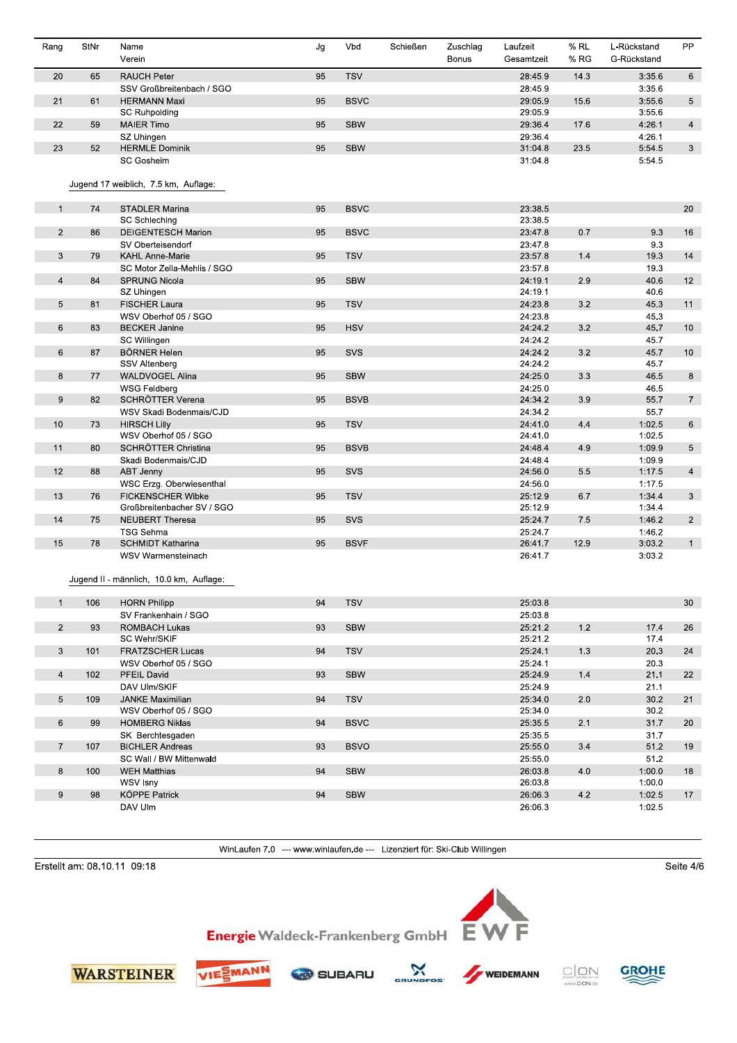| Rang             | StNr | Name<br>Verein                                                | Jg | Vbd         | Schießen | Zuschlag<br><b>Bonus</b> | Laufzeit<br>Gesamtzeit | % RL<br>% RG | L-Rückstand<br>G-Rückstand | <b>PP</b>       |
|------------------|------|---------------------------------------------------------------|----|-------------|----------|--------------------------|------------------------|--------------|----------------------------|-----------------|
| 20               | 65   | <b>RAUCH Peter</b>                                            | 95 | <b>TSV</b>  |          |                          | 28.45.9                | 14.3         | 3:35.6                     | $6\overline{6}$ |
|                  |      | SSV Großbreitenbach / SGO                                     |    |             |          |                          | 28:45.9                |              | 3:35.6                     |                 |
| 21               | 61   | <b>HERMANN Maxi</b>                                           | 95 | <b>BSVC</b> |          |                          | 29:05.9                | 15.6         | 3:55.6                     | 5               |
|                  |      | <b>SC Ruhpolding</b>                                          |    |             |          |                          | 29:05.9                |              | 3:55.6                     |                 |
| 22               | 59   | <b>MAIER Timo</b>                                             | 95 | <b>SBW</b>  |          |                          | 29:36.4                | 17.6         | 4:26.1                     | $\overline{4}$  |
|                  |      | SZ Uhingen                                                    |    |             |          |                          | 29:36.4                |              | 4:26.1                     |                 |
| 23               | 52   | <b>HERMLE Dominik</b>                                         | 95 | <b>SBW</b>  |          |                          | 31:04.8                | 23.5         | 5:54.5                     | 3               |
|                  |      | <b>SC Gosheim</b>                                             |    |             |          |                          | 31:04.8                |              | 5:54.5                     |                 |
|                  |      | Jugend 17 weiblich, 7.5 km, Auflage:                          |    |             |          |                          |                        |              |                            |                 |
| $\mathbf{1}$     | 74   | <b>STADLER Marina</b>                                         | 95 | <b>BSVC</b> |          |                          | 23:38.5                |              |                            | 20              |
|                  |      | SC Schleching                                                 |    |             |          |                          | 23:38.5                |              |                            |                 |
| $\mathbf{2}$     | 86   | DEIGENTESCH Marion                                            | 95 | <b>BSVC</b> |          |                          | 23.47.8                | 0.7          | 9.3                        | 16              |
|                  |      | SV Oberteisendorf                                             |    |             |          |                          | 23:47.8                |              | 9.3                        |                 |
| 3                | 79   | <b>KAHL Anne-Marie</b>                                        | 95 | <b>TSV</b>  |          |                          | 23:57.8                | 1.4          | 19.3                       | 14              |
|                  |      | SC Motor Zella-Mehlis / SGO                                   |    |             |          |                          | 23:57.8                |              | 19.3                       |                 |
| $\overline{4}$   | 84   | <b>SPRUNG Nicola</b>                                          | 95 | <b>SBW</b>  |          |                          | 24:19.1                | 2.9          | 40.6                       | 12              |
|                  |      | SZ Uhingen                                                    |    |             |          |                          | 24:19.1                |              | 40.6                       |                 |
| 5                | 81   | <b>FISCHER Laura</b>                                          | 95 | <b>TSV</b>  |          |                          | 24:23.8                | 3.2          | 45.3                       | 11              |
|                  |      | WSV Oberhof 05 / SGO                                          |    |             |          |                          | 24:23.8                |              | 45.3                       |                 |
| 6                | 83   | <b>BECKER Janine</b>                                          | 95 | <b>HSV</b>  |          |                          | 24:24.2                | 3.2          | 45.7                       | 10              |
|                  |      | SC Willingen                                                  |    |             |          |                          | 24:24.2                |              | 45.7                       |                 |
| 6                | 87   | <b>BÖRNER Helen</b>                                           | 95 | SVS         |          |                          | 24:24.2                | 3.2          | 45.7                       | 10              |
|                  |      | SSV Altenberg                                                 |    |             |          |                          | 24:24.2                |              | 45.7                       |                 |
| 8                | 77   | <b>WALDVOGEL Alina</b>                                        | 95 | <b>SBW</b>  |          |                          | 24:25.0                | 3.3          | 46.5                       | 8               |
|                  |      | <b>WSG Feldberg</b>                                           |    |             |          |                          | 24:25.0                |              | 46.5                       |                 |
| $\boldsymbol{9}$ | 82   | SCHRÖTTER Verena                                              | 95 | <b>BSVB</b> |          |                          | 24:34.2                | 3.9          | 55.7                       | $\overline{7}$  |
|                  |      | WSV Skadi Bodenmais/CJD                                       |    |             |          |                          | 24:34.2                |              | 55.7                       |                 |
| 10               | 73   | <b>HIRSCH Lilly</b>                                           | 95 | <b>TSV</b>  |          |                          | 24:41.0                | 4.4          | 1:02.5                     | 6               |
|                  |      | WSV Oberhof 05 / SGO                                          |    |             |          |                          | 24:41.0                |              | 1:02.5                     |                 |
| 11               | 80   | SCHRÖTTER Christina                                           | 95 | <b>BSVB</b> |          |                          | 24:48.4                | 4.9          | 1:09.9                     | $5\overline{)}$ |
|                  |      | Skadi Bodenmais/CJD                                           |    |             |          |                          | 24:48.4                |              | 1:09.9                     |                 |
| 12               | 88   | <b>ABT Jenny</b>                                              | 95 | SVS         |          |                          | 24:56.0                | 5.5          | 1:17.5                     | $\overline{4}$  |
|                  |      | WSC Erzg. Oberwiesenthal                                      |    |             |          |                          | 24:56.0                |              | 1:17.5                     |                 |
| 13               | 76   | <b>FICKENSCHER Wibke</b>                                      | 95 | <b>TSV</b>  |          |                          | 25:12.9                | 6.7          | 1:34.4                     | $\mathbf{3}$    |
|                  |      | Großbreitenbacher SV / SGO                                    |    |             |          |                          | 25:12.9                |              | 1:34.4                     |                 |
| 14               | 75   | <b>NEUBERT Theresa</b>                                        | 95 | SVS         |          |                          | 25:24.7                | 7.5          | 1:46.2                     | $\overline{2}$  |
|                  |      | <b>TSG Sehma</b>                                              |    |             |          |                          | 25:24.7                |              | 1:46.2                     |                 |
| 15               | 78   | <b>SCHMIDT Katharina</b>                                      | 95 | <b>BSVF</b> |          |                          | 26:41.7                | 12.9         | 3:03.2                     | $\mathbf{1}$    |
|                  |      | WSV Warmensteinach<br>Jugend II - männlich, 10.0 km, Auflage. |    |             |          |                          | 26:41.7                |              | 3:03.2                     |                 |
| $\mathbf{1}$     | 106  | <b>HORN Philipp</b>                                           | 94 | <b>TSV</b>  |          |                          | 25:03.8                |              |                            | 30              |
|                  |      | SV Frankenhain / SGO                                          |    |             |          |                          | 25:03.8                |              |                            |                 |
| $\overline{c}$   | 93   | <b>ROMBACH Lukas</b>                                          | 93 | <b>SBW</b>  |          |                          | 25:21.2                | 1.2          | 17.4                       | 26              |
|                  |      | SC Wehr/SKIF                                                  |    |             |          |                          | 25:21.2                |              | 17.4                       |                 |
| 3                | 101  | <b>FRATZSCHER Lucas</b>                                       | 94 | <b>TSV</b>  |          |                          | 25:24.1                | 1.3          | 20.3                       | 24              |
|                  |      | WSV Oberhof 05 / SGO                                          |    |             |          |                          | 25:24.1                |              | 20.3                       |                 |
| $\overline{4}$   | 102  | PFEIL David                                                   | 93 | <b>SBW</b>  |          |                          | 25:24.9                | $1.4$        | 21.1                       | 22              |
|                  |      | DAV Ulm/SKIF                                                  |    |             |          |                          | 25.24.9                |              | 21.1                       |                 |
| 5                | 109  | <b>JANKE Maximilian</b>                                       | 94 | <b>TSV</b>  |          |                          | 25:34.0                | 2.0          | 30.2                       | 21              |
|                  |      | WSV Oberhof 05 / SGO                                          |    |             |          |                          | 25:34.0                |              | 30.2                       |                 |
| 6                | 99   | <b>HOMBERG Niklas</b>                                         | 94 | <b>BSVC</b> |          |                          | 25:35.5                | 2.1          | 31.7                       | 20              |
|                  |      | SK Berchtesgaden                                              |    |             |          |                          | 25:35.5                |              | 31.7                       |                 |
| $\overline{7}$   | 107  | <b>BICHLER Andreas</b>                                        | 93 | <b>BSVO</b> |          |                          | 25:55.0                | 3.4          | 51.2                       | 19              |
|                  |      | SC Wall / BW Mittenwald                                       |    |             |          |                          | 25:55.0                |              | 51.2                       |                 |
| 8                | 100  | <b>WEH Matthias</b>                                           | 94 | <b>SBW</b>  |          |                          | 26:03.8                | 4.0          | 1:00.0                     | 18              |
|                  |      | WSV Isny                                                      |    |             |          |                          | 26:03.8                |              | 1:00.0                     |                 |
| 9                | 98   | KÖPPE Patrick                                                 | 94 | <b>SBW</b>  |          |                          | 26:06:3                | 4.2          | 1:02.5                     | 17              |
|                  |      | DAV Ulm                                                       |    |             |          |                          | 26:06.3                |              | 1:02.5                     |                 |

Erstellt am: 08.10.11 09:18

Seite  $4/6$ 













 $\mathbf{\hat{x}}$ 

.<br>GR



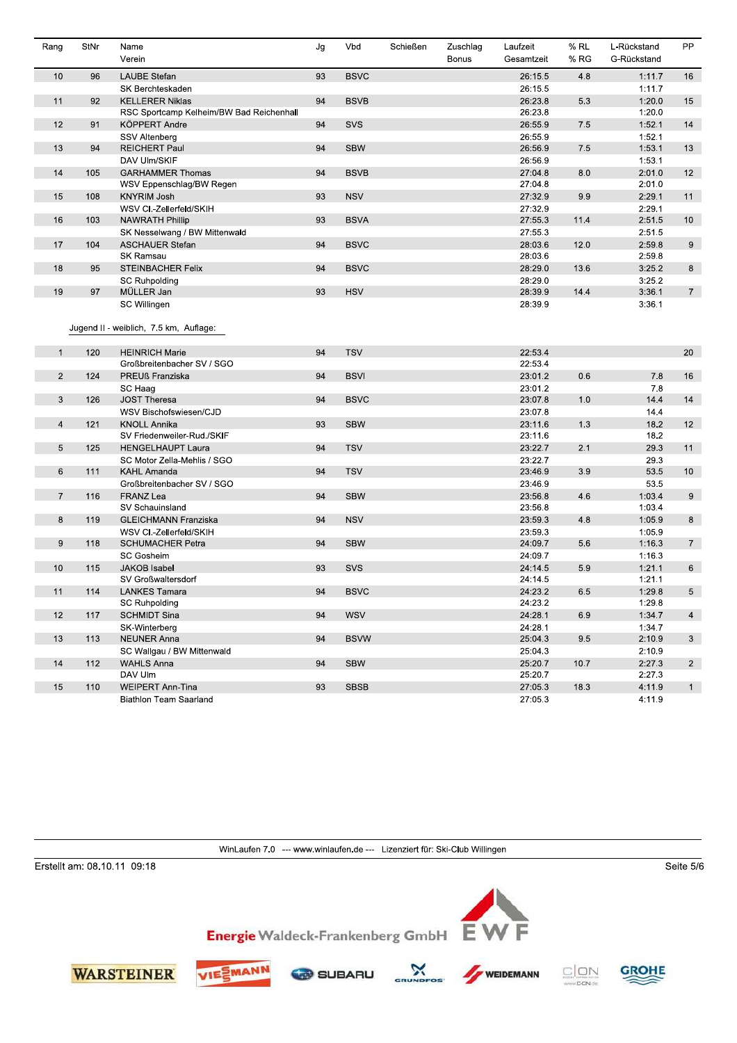| Rang           | StNr | Name<br>Verein                           | Jg | Vbd         | Schießen | Zuschlag<br>Bonus | Laufzeit<br>Gesamtzeit | $%$ RL<br>% RG | L-Rückstand<br>G-Rückstand | <b>PP</b>       |
|----------------|------|------------------------------------------|----|-------------|----------|-------------------|------------------------|----------------|----------------------------|-----------------|
| 10             | 96   | <b>LAUBE Stefan</b>                      | 93 | <b>BSVC</b> |          |                   | 26.15.5                | 4.8            | 1:11.7                     | 16              |
|                |      | SK Berchteskaden                         |    |             |          |                   | 26:15.5                |                | 1:11.7                     |                 |
| 11             | 92   | <b>KELLERER Niklas</b>                   | 94 | <b>BSVB</b> |          |                   | 26:23.8                | 5.3            | 1:20.0                     | 15              |
|                |      | RSC Sportcamp Kelheim/BW Bad Reichenhall |    |             |          |                   | 26:23.8                |                | 1:20.0                     |                 |
| 12             | 91   | <b>KÖPPERT Andre</b>                     | 94 | SVS         |          |                   | 26.55.9                | 7.5            | 1:52.1                     | 14              |
|                |      | <b>SSV Altenberg</b>                     |    |             |          |                   | 26:55.9                |                | 1:52.1                     |                 |
| 13             | 94   | <b>REICHERT Paul</b>                     | 94 | <b>SBW</b>  |          |                   | 26:56.9                | 7.5            | 1:53.1                     | 13              |
|                |      | DAV Ulm/SKIF                             |    |             |          |                   | 26:56.9                |                | 1:53.1                     |                 |
| 14             | 105  | <b>GARHAMMER Thomas</b>                  | 94 | <b>BSVB</b> |          |                   | 27.04.8                | 8.0            | 2:01.0                     | 12              |
|                |      | WSV Eppenschlag/BW Regen                 |    |             |          |                   | 27.04.8                |                | 2:01.0                     |                 |
| 15             | 108  | <b>KNYRIM Josh</b>                       | 93 | <b>NSV</b>  |          |                   | 27:32.9                | 9.9            | 2:29.1                     | 11              |
|                |      | WSV CI.-Zellerfeld/SKIH                  |    |             |          |                   | 27:32.9                |                | 2:29.1                     |                 |
| 16             | 103  | <b>NAWRATH Phillip</b>                   | 93 | <b>BSVA</b> |          |                   | 27:55.3                | 11.4           | 2:51.5                     | 10              |
|                |      | SK Nesselwang / BW Mittenwald            |    |             |          |                   | 27.55.3                |                | 2:51.5                     |                 |
| 17             | 104  | <b>ASCHAUER Stefan</b>                   | 94 | <b>BSVC</b> |          |                   | 28:03.6                | 12.0           | 2:59.8                     | 9               |
|                |      | SK Ramsau                                |    |             |          |                   | 28:03.6                |                | 2:59.8                     |                 |
| 18             | 95   | <b>STEINBACHER Felix</b>                 | 94 | <b>BSVC</b> |          |                   | 28:29.0                | 13.6           | 3:25.2                     | 8               |
|                |      | SC Ruhpolding                            |    |             |          |                   | 28:29.0                |                | 3:25.2                     |                 |
| 19             | 97   | MÜLLER Jan                               | 93 | <b>HSV</b>  |          |                   | 28:39.9                | 14.4           | 3:36.1                     | $7\overline{ }$ |
|                |      | SC Willingen                             |    |             |          |                   | 28:39.9                |                | 3:36.1                     |                 |
|                |      |                                          |    |             |          |                   |                        |                |                            |                 |
|                |      | Jugend II - weiblich, 7.5 km, Auflage:   |    |             |          |                   |                        |                |                            |                 |
| $\mathbf{1}$   | 120  | <b>HEINRICH Marie</b>                    | 94 | <b>TSV</b>  |          |                   | 22:53.4                |                |                            | 20              |
|                |      | Großbreitenbacher SV / SGO               |    |             |          |                   | 22:53.4                |                |                            |                 |
| $\overline{2}$ | 124  | PREUß Franziska                          | 94 | <b>BSVI</b> |          |                   | 23:01.2                | 0.6            | 7.8                        | 16              |
|                |      | SC Haag                                  |    |             |          |                   | 23:01.2                |                | 7.8                        |                 |
| 3              | 126  | <b>JOST Theresa</b>                      | 94 | <b>BSVC</b> |          |                   | 23 07 8                | 1.0            | 14.4                       | 14              |
|                |      | WSV Bischofswiesen/CJD                   |    |             |          |                   | 23:07.8                |                | 14.4                       |                 |
| $\overline{4}$ | 121  | <b>KNOLL Annika</b>                      | 93 | <b>SBW</b>  |          |                   | 23:11.6                | 1.3            | 18.2                       | 12              |
|                |      | SV Friedenweiler-Rud./SKIF               |    |             |          |                   | 23:11.6                |                | 18.2                       |                 |
| 5              | 125  | <b>HENGELHAUPT Laura</b>                 | 94 | <b>TSV</b>  |          |                   | 23:22.7                | 2.1            | 29.3                       | 11              |
|                |      | SC Motor Zella-Mehlis / SGO              |    |             |          |                   | 23.22.7                |                | 29.3                       |                 |
| 6              | 111  | <b>KAHL Amanda</b>                       | 94 | <b>TSV</b>  |          |                   | 23.46.9                | 3.9            | 53.5                       | 10              |
|                |      | Großbreitenbacher SV / SGO               |    |             |          |                   | 23:46.9                |                | 53.5                       |                 |
| $\overline{7}$ | 116  | <b>FRANZ Lea</b>                         | 94 | <b>SBW</b>  |          |                   | 23:56.8                | 4.6            | 1:03.4                     | 9               |
|                |      | SV Schauinsland                          |    |             |          |                   | 23:56.8                |                | 1:03.4                     |                 |
| 8              | 119  | <b>GLEICHMANN Franziska</b>              | 94 | <b>NSV</b>  |          |                   | 23.59.3                | 4.8            | 1:05.9                     | 8               |
|                |      | WSV CI.-Zellerfeld/SKIH                  |    |             |          |                   | 23:59.3                |                | 1:05.9                     |                 |
| 9              | 118  | SCHUMACHER Petra                         | 94 | <b>SBW</b>  |          |                   | 24:09.7                | 5.6            | 1:16.3                     | $7\overline{ }$ |
|                |      | <b>SC Gosheim</b>                        |    |             |          |                   | 24:09.7                |                | 1:16.3                     |                 |
| 10             | 115  | <b>JAKOB</b> Isabel                      | 93 | SVS         |          |                   | 24:14.5                | 5.9            | 1:21.1                     | 6               |
|                |      | SV Großwaltersdorf                       |    |             |          |                   | 24:14.5                |                | 1:21.1                     |                 |
| 11             | 114  | <b>LANKES Tamara</b>                     | 94 | <b>BSVC</b> |          |                   | 24:23.2                | 6.5            | 1:29.8                     | 5               |
|                |      | <b>SC Ruhpolding</b>                     |    |             |          |                   | 24:23.2                |                | 1:29.8                     |                 |
| 12             | 117  | <b>SCHMIDT Sina</b>                      | 94 | <b>WSV</b>  |          |                   | 24:28.1                | 6.9            | 1:34.7                     | $\overline{4}$  |
|                |      | SK-Winterberg                            |    |             |          |                   | 24.28.1                |                | 1:34.7                     |                 |
| 13             | 113  | <b>NEUNER Anna</b>                       | 94 | <b>BSVW</b> |          |                   | 25:04:3                | 9.5            | 2:10.9                     | 3 <sup>1</sup>  |
|                |      | SC Wallgau / BW Mittenwald               |    |             |          |                   | 25:04.3                |                | 2:10.9                     |                 |
| 14             | 112  | <b>WAHLS Anna</b>                        | 94 | <b>SBW</b>  |          |                   | 25:20.7                | 10.7           | 2:27.3                     | $2^{\circ}$     |
|                |      | DAV Ulm                                  |    |             |          |                   | 25:20.7                |                | 2:27.3                     |                 |
| 15             | 110  | <b>WEIPERT Ann-Tina</b>                  | 93 | <b>SBSB</b> |          |                   | 27:05.3                | 18.3           | 4:11.9                     | $\mathbf{1}$    |
|                |      | <b>Biathlon Team Saarland</b>            |    |             |          |                   | 27:05.3                |                | 4:11.9                     |                 |

Erstellt am: 08.10.11 09:18

Seite  $5/6$ 





 $\mathbf{\hat{x}}$ 

.<br>GR